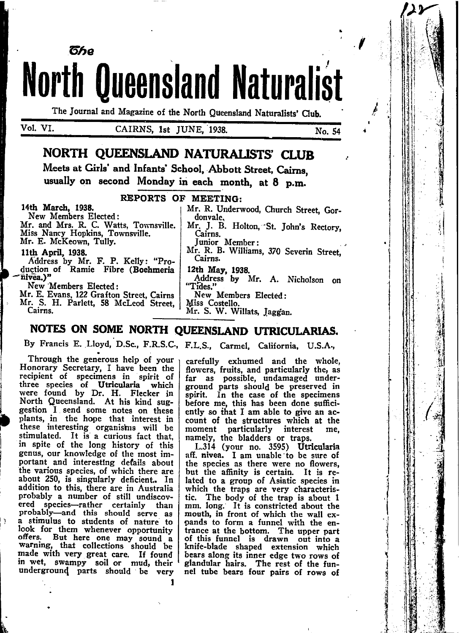**North Queensland Naturalist** 

The Journal and Magazine of the North Queensland Naturalists' Club.

Vol. VI.

CAIRNS, 1st JUNE, 1938.

No. 54

# **NORTH OUEENSLAND NATURALISTS' CLUB**

Meets at Girls' and Infants' School. Abbott Street. Cairns. usually on second Monday in each month, at 8 p.m.

#### REPORTS OF MEETING:

14th March, 1938.

New Members Elected: Mr. and Mrs. R. C. Watts, Townsville.<br>Miss Nancy Hopkins, Townsville. Mr. E. McKeown, Tully.

ნჩი

#### 11th April, 1938.

Address by Mr. F. P. Kelly: "Pro-<br>duction of Ramie Fibre (Boehmeria nivea.)"

New Members Elected:

Mr. E. Evans, 122 Grafton Street, Cairns Mr. S. H. Parlett, 58 McLeod Street. Cairns.

Mr. R. Underwood, Church Street, Gordonvale. Mr. J. B. Holton, St. John's Rectory, Cairns.

Junior Member:

Mr. R. B. Williams, 370 Severin Street. Cairns.

12th May, 1938.

- Address by Mr. A. Nicholson on "Tides."
- New Members Elected:
- Miss Costello.

Mr. S. W. Willats, Jaggan.

# NOTES ON SOME NORTH QUEENSLAND UTRICULARIAS.

By Francis E. Lloyd, D.Sc., F.R.S.C., F.L.S., Carmel, California, U.S.A.,

Through the generous help of your Honorary Secretary, I have been the recipient of specimens in spirit of three species of Utricularia which were found by Dr. H. Flecker in North Queensland. At his kind sug-<br>gestion I send some notes on these plants, in the hope that interest in these interesting organisms will be stimulated. It is a curious fact that, in spite of the long history of this genus, our knowledge of the most important and interesting defails about the various species, of which there are about 250, is singularly deficient.. In addition to this, there are in Australia probably a number of still undiscovered species-rather certainly than<br>probably-and this should serve as a stimulus to students of nature to look for them whenever opportunity offers. But here one may sound a warning, that collections should be made with very great care. If found in wet, swampy soil or mud, their underground parts should be very

carefully exhumed and the whole. flowers, fruits, and particularly the, as far as possible, undamaged underground parts should be preserved in spirit. In the case of the specimens before me, this has been done sufficiently so that I am able to give an account of the structures which at the moment particularly interest me. namely, the bladders or traps.

L.314 (your no. 3595) Utricularia aff. nivea. I am unable to be sure of the species as there were no flowers, but the affinity is certain. It is related to a group of Asiatic species in which the traps are very characteristic. The body of the trap is about 1 mm. long. It is constricted about the mouth, in front of which the wall expands to form a funnel with the entrance at the bottom. The upper part of this funnel is drawn out into a knife-blade shaped extension which bears along its inner edge two rows of glandular hairs. The rest of the funnel tube bears four pairs of rows of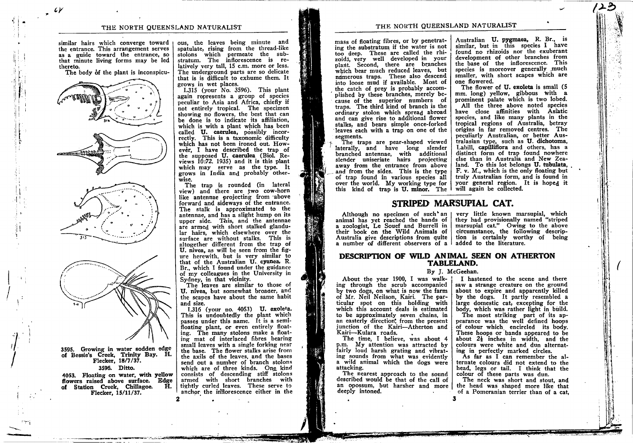similar hairs which converge toward the entrance. This arrangement serves as a guide toward the entrance, so that minute living forms may be led thereto.

The body of the plant is inconspicu-

3595. Growing in water sodden edge of Bessie's Creek, Trinity Bay. H. Flecker, 18/7/37. 3596. Ditto.

4053. Floating on water, with yellow flowers raised above surface. Edge of Station Creek, Chillagoe. Ĥ. Flecker, 15/11/37.

ous, the leaves being minute and spatulate, rising from the thread-like stolons which permeate the substratum. The inflorescence is relatively very tall, 15 c.m. more or less. The underground parts are so delicate that is is difficult to exhume them. It grows in wet places.

L315 (your No. 3596). This plant again represents a group of species peculiar to Asia and Africa, chiefly if not entirely tropical. The specimen showing no flowers, the best that can be done is to indicate its affiliation. which is with a plant which has been called U. caerulea, possibly incorrectly. This is a taxonomic difficulty which has not been ironed out. However. I have described the trap of the supposed U. caerulea (Biol. Reviews  $10:72$ , 1935) and it is this plant which may serve as the type. It grows in India and probably otherwise.

The trap is rounded (in lateral view) and there are two cow-horn like antennae projecting from above forward and sideways of the entrance. The stalk is approximated to the antennae, and has a slight hump on its upper side. This, and the antennae are armed with short stalked glandular hairs, which elsewhere over the surface are without stalks. This is altogether different from the trap of U. nivea, as will be seen from the figure herewith, but is very similar to that of the Australian U. cyanea, R. Br., which I found under the guidance of my colleagues in the University in Sydney, in that vicinity.

The leaves are similar to those of U. nivea, but somewhat broader, and the scapes have about the same habit and size.

1.316 (your no. 4053) U. exoleta. This is undoubtedly the plant which passes under this name. It is a semifloating plant, or even entirely floating. The many stolons make a floating mat of interlaced fibres bearing small leaves with a single forking near the base. The flower stalks arise from the axils of the leaves, and the bases send out a number of branch stolons which are of three kinds. One kind consists of descending stiff stolons armed with short branches with tightly curled leaves. These serve to anchor the inflorescence either in the mass of floating fibres, or by penetrating the substratum if the water is not too deep. These are called the rhizoidá, very well developed in your plant. Second, there are branches which bear much reduced leaves, but namerous traps. These also descend into loose mud if available. Most of the catch of prev is probably accomplished by these branches, merely because of the superior numbers of traps. The third kind of branch is the ordinary stolon which spread abroad and can give rise to additional flower stalks, and bears simple once-forked leaves each with a trap on one of the segments.

The traps are pear-shaped viewed laterally, and have long slender branched antennae, with additional slender uniseriate hairs projecting away from the entrance from above and from the sides. This is the type of trap found in various species all over the world. My working type for this kind of trap is U. minor. The

Australian U. pygmaea, R. Br., is similar, but in this species I have found no rhizoids nor the exuberant development of other branches from the base of the inflorescence. This species is moreover generally much smaller, with short scapes which are one flowered.

The flower of U. exoleta is small (5 mm. long) yellow, gibbous with a prominent palate which is two lobed.

All the three above noted species have close affinities with Asiatic species, and like many plants in the tropical regions of Australia, betray origins in far removed centres. The peculiarly Australian, or better Australasian type, such as U. dichotoma, Labill, capilliflora and others, has a distinct form of trap found nowhere else than in Australia and New Zealand. To this lot belongs U. tubulata. F. v. M., which is the only floating but truly Australian form, and is found in your general region. It is hoped it will again be collected.

# STRIPED MARSUPIAL CAT.

animal has yet reached the hands of a zoologist, Le Souef and Burrell in their book on the Wild Animals of Australia give descriptions from quite a number of different observers of a added to the literature.

Although no specimen of such an I very little known marsupial, which they had provisionally named "striped marsupial cat." Owing to the above circumstance, the following description is certainly worthy of being

## DESCRIPTION OF WILD ANIMAL SEEN ON ATHERTON **TABLELAND.**

#### By J. McGeehan.

About the year 1900, I was walking through the scrub accompanied by two dogs, on what is now the farm of Mr. Neil Neilson, Kairi. The particular spot on this holding with which this account deals is estimated to be approximately seven chains, in an easterly direction, from the present junction of the Kairi-Atherton and Kairi-Kulara roads.

The time, I believe, was about 4 p.m. My attention was attracted by fairly loud harsh grating and vibrating sounds from what was evidently a wild animal which the dogs were attacking.

The nearest approach to the sound described would be that of the call of an opossum, but harsher and more deeply intoned.

I hastened to the scene and there

saw a strange creature on the ground about to expire and apparently killed by the dogs. It partly resembled a large domestic cat, excepting for the body, which was rather light in build.

The most striking part of its appearance was the well defined hoops of colour which encircled its body. These hoops or bands appeared to be about  $2\frac{1}{2}$  inches in width, and the colours were white and dun alternating in perfectly marked circles.

As far as I can remember the alternate colours did not extend to the head, legs or tail. I think that the colour of these parts was dun.

The neck was short and stout, and the head was shaped more like that of a Pomeranian terrier than of a cat.